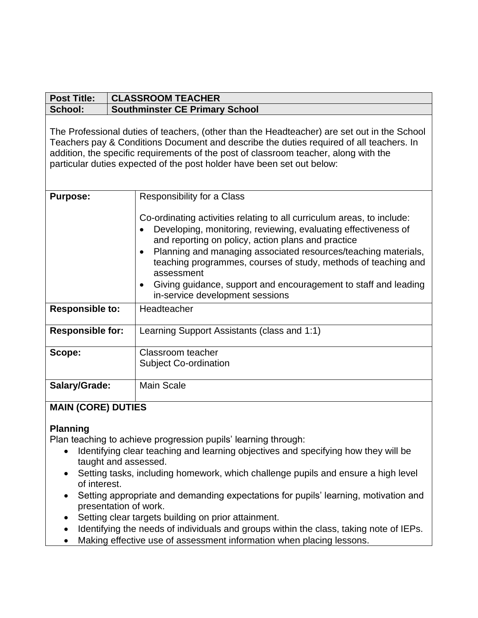| <b>CLASSROOM TEACHER</b>                                                                                                                                                                                                                                                                                                                                                                                                                                                         |
|----------------------------------------------------------------------------------------------------------------------------------------------------------------------------------------------------------------------------------------------------------------------------------------------------------------------------------------------------------------------------------------------------------------------------------------------------------------------------------|
| <b>Southminster CE Primary School</b>                                                                                                                                                                                                                                                                                                                                                                                                                                            |
| The Professional duties of teachers, (other than the Headteacher) are set out in the School<br>Teachers pay & Conditions Document and describe the duties required of all teachers. In<br>addition, the specific requirements of the post of classroom teacher, along with the<br>particular duties expected of the post holder have been set out below:                                                                                                                         |
| Responsibility for a Class                                                                                                                                                                                                                                                                                                                                                                                                                                                       |
| Co-ordinating activities relating to all curriculum areas, to include:<br>Developing, monitoring, reviewing, evaluating effectiveness of<br>and reporting on policy, action plans and practice<br>Planning and managing associated resources/teaching materials,<br>$\bullet$<br>teaching programmes, courses of study, methods of teaching and<br>assessment<br>Giving guidance, support and encouragement to staff and leading<br>$\bullet$<br>in-service development sessions |
| Headteacher                                                                                                                                                                                                                                                                                                                                                                                                                                                                      |
| Learning Support Assistants (class and 1:1)                                                                                                                                                                                                                                                                                                                                                                                                                                      |
| Classroom teacher<br><b>Subject Co-ordination</b>                                                                                                                                                                                                                                                                                                                                                                                                                                |
| <b>Main Scale</b><br>MAIN <i>IOODEN BURIEO</i>                                                                                                                                                                                                                                                                                                                                                                                                                                   |
|                                                                                                                                                                                                                                                                                                                                                                                                                                                                                  |

# **MAIN (CORE) DUTIES**

### **Planning**

Plan teaching to achieve progression pupils' learning through:

- Identifying clear teaching and learning objectives and specifying how they will be taught and assessed.
- Setting tasks, including homework, which challenge pupils and ensure a high level of interest.
- Setting appropriate and demanding expectations for pupils' learning, motivation and presentation of work.
- Setting clear targets building on prior attainment.
- Identifying the needs of individuals and groups within the class, taking note of IEPs.
- Making effective use of assessment information when placing lessons.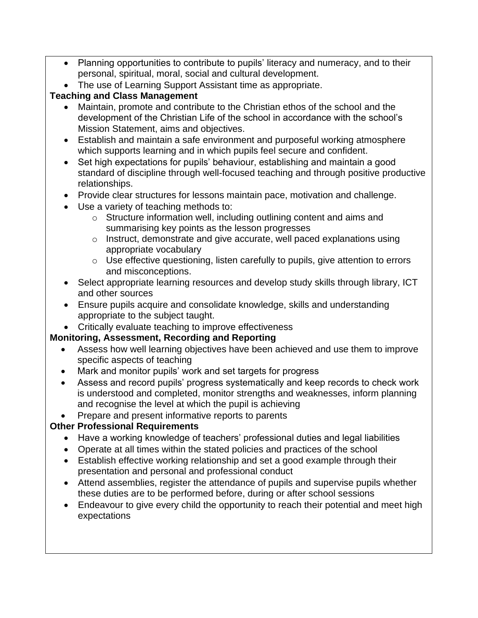- Planning opportunities to contribute to pupils' literacy and numeracy, and to their personal, spiritual, moral, social and cultural development.
- The use of Learning Support Assistant time as appropriate.

## **Teaching and Class Management**

- Maintain, promote and contribute to the Christian ethos of the school and the development of the Christian Life of the school in accordance with the school's Mission Statement, aims and objectives.
- Establish and maintain a safe environment and purposeful working atmosphere which supports learning and in which pupils feel secure and confident.
- Set high expectations for pupils' behaviour, establishing and maintain a good standard of discipline through well-focused teaching and through positive productive relationships.
- Provide clear structures for lessons maintain pace, motivation and challenge.
- Use a variety of teaching methods to:
	- o Structure information well, including outlining content and aims and summarising key points as the lesson progresses
	- o Instruct, demonstrate and give accurate, well paced explanations using appropriate vocabulary
	- o Use effective questioning, listen carefully to pupils, give attention to errors and misconceptions.
- Select appropriate learning resources and develop study skills through library, ICT and other sources
- Ensure pupils acquire and consolidate knowledge, skills and understanding appropriate to the subject taught.
- Critically evaluate teaching to improve effectiveness

## **Monitoring, Assessment, Recording and Reporting**

- Assess how well learning objectives have been achieved and use them to improve specific aspects of teaching
- Mark and monitor pupils' work and set targets for progress
- Assess and record pupils' progress systematically and keep records to check work is understood and completed, monitor strengths and weaknesses, inform planning and recognise the level at which the pupil is achieving
- Prepare and present informative reports to parents

## **Other Professional Requirements**

- Have a working knowledge of teachers' professional duties and legal liabilities
- Operate at all times within the stated policies and practices of the school
- Establish effective working relationship and set a good example through their presentation and personal and professional conduct
- Attend assemblies, register the attendance of pupils and supervise pupils whether these duties are to be performed before, during or after school sessions
- Endeavour to give every child the opportunity to reach their potential and meet high expectations